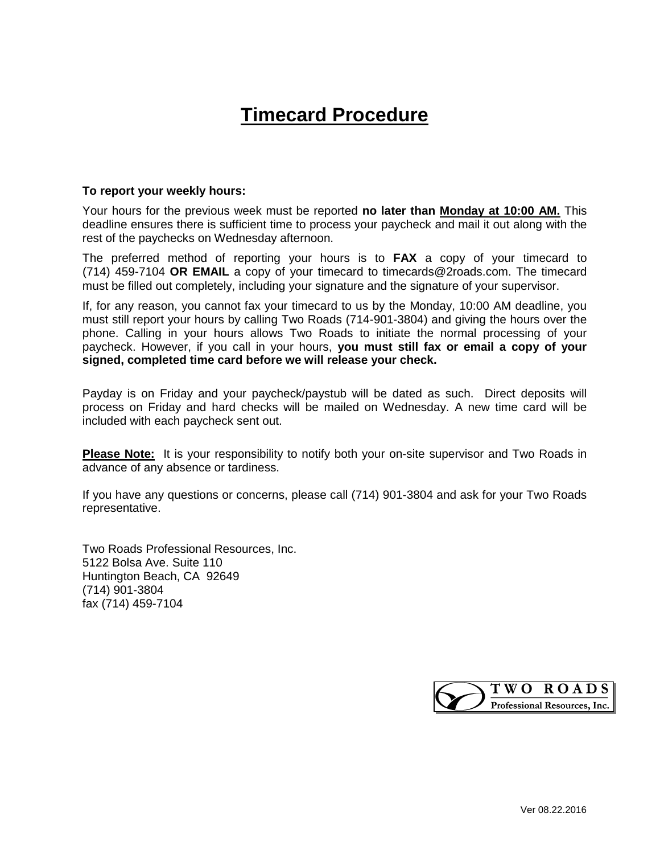## **Timecard Procedure**

## **To report your weekly hours:**

Your hours for the previous week must be reported **no later than Monday at 10:00 AM.** This deadline ensures there is sufficient time to process your paycheck and mail it out along with the rest of the paychecks on Wednesday afternoon.

The preferred method of reporting your hours is to **FAX** a copy of your timecard to (714) 459-7104 **OR EMAIL** a copy of your timecard to timecards@2roads.com. The timecard must be filled out completely, including your signature and the signature of your supervisor.

If, for any reason, you cannot fax your timecard to us by the Monday, 10:00 AM deadline, you must still report your hours by calling Two Roads (714-901-3804) and giving the hours over the phone. Calling in your hours allows Two Roads to initiate the normal processing of your paycheck. However, if you call in your hours, **you must still fax or email a copy of your signed, completed time card before we will release your check.**

Payday is on Friday and your paycheck/paystub will be dated as such. Direct deposits will process on Friday and hard checks will be mailed on Wednesday. A new time card will be included with each paycheck sent out.

**Please Note:** It is your responsibility to notify both your on-site supervisor and Two Roads in advance of any absence or tardiness.

If you have any questions or concerns, please call (714) 901-3804 and ask for your Two Roads representative.

Two Roads Professional Resources, Inc. 5122 Bolsa Ave. Suite 110 Huntington Beach, CA 92649 (714) 901-3804 fax (714) 459-7104